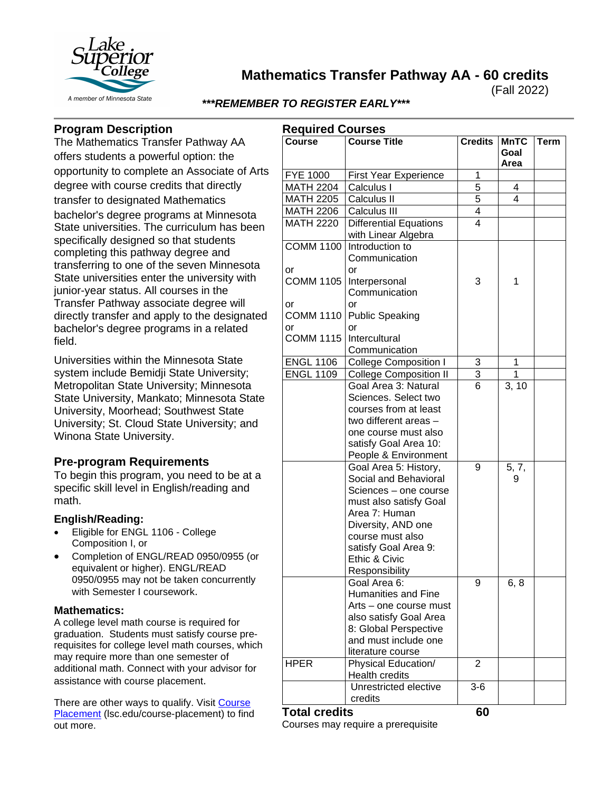

**Mathematics Transfer Pathway AA - 60 credits**

(Fall 2022)

## *\*\*\*REMEMBER TO REGISTER EARLY\*\*\**

# **Program Description**

The Mathematics Transfer Pathway AA offers students a powerful option: the opportunity to complete an Associate of Arts degree with course credits that directly transfer to designated Mathematics bachelor's degree programs at Minnesota State universities. The curriculum has been specifically designed so that students completing this pathway degree and transferring to one of the seven Minnesota State universities enter the university with junior-year status. All courses in the Transfer Pathway associate degree will directly transfer and apply to the designated bachelor's degree programs in a related field.

Universities within the Minnesota State system include Bemidji State University; Metropolitan State University; Minnesota State University, Mankato; Minnesota State University, Moorhead; Southwest State University; St. Cloud State University; and Winona State University.

## **Pre-program Requirements**

To begin this program, you need to be at a specific skill level in English/reading and math.

## **English/Reading:**

- Eligible for ENGL 1106 College Composition I, or
- Completion of ENGL/READ 0950/0955 (or equivalent or higher). ENGL/READ 0950/0955 may not be taken concurrently with Semester I coursework.

#### **Mathematics:**

A college level math course is required for graduation. Students must satisfy course prerequisites for college level math courses, which may require more than one semester of additional math. Connect with your advisor for assistance with course placement.

There are other ways to qualify. Visit [Course](https://www.lsc.edu/course-placement/)  [Placement](https://www.lsc.edu/course-placement/) (lsc.edu/course-placement) to find out more.

| <b>Required Courses</b>      |                                                                                                                                                                                                                         |                |                             |             |
|------------------------------|-------------------------------------------------------------------------------------------------------------------------------------------------------------------------------------------------------------------------|----------------|-----------------------------|-------------|
| <b>Course</b>                | <b>Course Title</b>                                                                                                                                                                                                     | <b>Credits</b> | <b>MnTC</b><br>Goal<br>Area | <b>Term</b> |
| <b>FYE 1000</b>              | <b>First Year Experience</b>                                                                                                                                                                                            | 1              |                             |             |
| <b>MATH 2204</b>             | Calculus I                                                                                                                                                                                                              | 5              | 4                           |             |
| <b>MATH 2205</b>             | Calculus II                                                                                                                                                                                                             | 5              | 4                           |             |
| <b>MATH 2206</b>             | Calculus III                                                                                                                                                                                                            | 4              |                             |             |
| <b>MATH 2220</b>             | <b>Differential Equations</b><br>with Linear Algebra                                                                                                                                                                    | 4              |                             |             |
| <b>COMM 1100</b><br>or       | Introduction to<br>Communication<br>or                                                                                                                                                                                  |                |                             |             |
| <b>COMM 1105</b>             | Interpersonal<br>Communication                                                                                                                                                                                          | 3              | 1                           |             |
| or<br><b>COMM 1110</b><br>or | or<br><b>Public Speaking</b><br>or                                                                                                                                                                                      |                |                             |             |
| <b>COMM 1115</b>             | Intercultural<br>Communication                                                                                                                                                                                          |                |                             |             |
| <b>ENGL 1106</b>             | <b>College Composition I</b>                                                                                                                                                                                            | 3              | 1                           |             |
| <b>ENGL 1109</b>             | <b>College Composition II</b>                                                                                                                                                                                           | 3              | 1                           |             |
|                              | Goal Area 3: Natural<br>Sciences. Select two<br>courses from at least<br>two different areas -<br>one course must also<br>satisfy Goal Area 10:<br>People & Environment                                                 | 6              | 3, 10                       |             |
|                              | Goal Area 5: History,<br>Social and Behavioral<br>Sciences - one course<br>must also satisfy Goal<br>Area 7: Human<br>Diversity, AND one<br>course must also<br>satisfy Goal Area 9:<br>Ethic & Civic<br>Responsibility | 9              | 5, 7,<br>9                  |             |
|                              | Goal Area 6:<br><b>Humanities and Fine</b><br>Arts - one course must<br>also satisfy Goal Area<br>8: Global Perspective<br>and must include one<br>literature course                                                    | 9              | 6, 8                        |             |
| <b>HPER</b>                  | Physical Education/<br><b>Health credits</b>                                                                                                                                                                            | $\overline{2}$ |                             |             |
|                              | Unrestricted elective<br>credits                                                                                                                                                                                        | $3-6$          |                             |             |

#### **Total credits 60**

Courses may require a prerequisite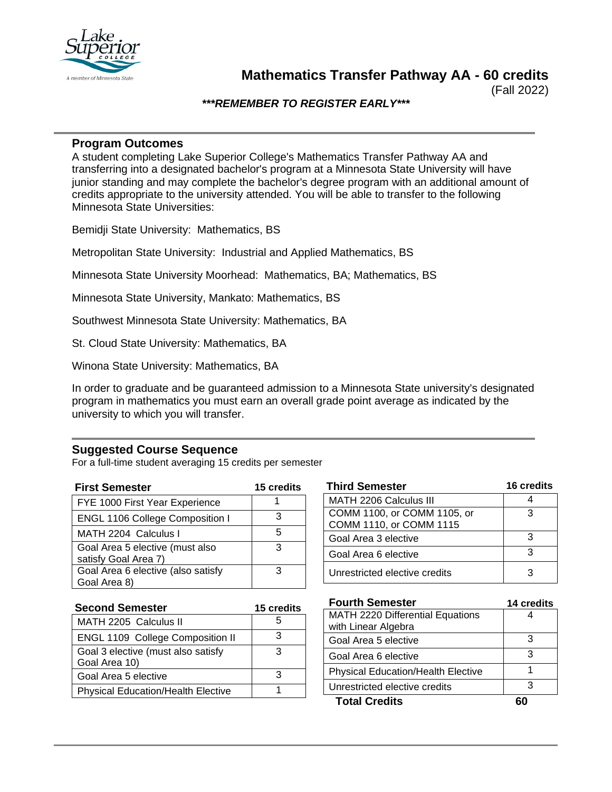

(Fall 2022)

## *\*\*\*REMEMBER TO REGISTER EARLY\*\*\**

## **Program Outcomes**

A student completing Lake Superior College's Mathematics Transfer Pathway AA and transferring into a designated bachelor's program at a Minnesota State University will have junior standing and may complete the bachelor's degree program with an additional amount of credits appropriate to the university attended. You will be able to transfer to the following Minnesota State Universities:

Bemidji State University: Mathematics, BS

Metropolitan State University: Industrial and Applied Mathematics, BS

Minnesota State University Moorhead: Mathematics, BA; Mathematics, BS

Minnesota State University, Mankato: Mathematics, BS

Southwest Minnesota State University: Mathematics, BA

St. Cloud State University: Mathematics, BA

Winona State University: Mathematics, BA

In order to graduate and be guaranteed admission to a Minnesota State university's designated program in mathematics you must earn an overall grade point average as indicated by the university to which you will transfer.

## **Suggested Course Sequence**

For a full-time student averaging 15 credits per semester

| <b>First Semester</b>                                   | <b>15 credits</b> |
|---------------------------------------------------------|-------------------|
| FYE 1000 First Year Experience                          |                   |
| <b>ENGL 1106 College Composition I</b>                  |                   |
| MATH 2204 Calculus I                                    | h                 |
| Goal Area 5 elective (must also<br>satisfy Goal Area 7) | З                 |
| Goal Area 6 elective (also satisfy                      | З                 |
| Goal Area 8)                                            |                   |

| <b>Third Semester</b>         | 16 credits |
|-------------------------------|------------|
| <b>MATH 2206 Calculus III</b> |            |
| COMM 1100, or COMM 1105, or   | з          |
| COMM 1110, or COMM 1115       |            |
| Goal Area 3 elective          | 3          |
| Goal Area 6 elective          | 3          |
| Unrestricted elective credits |            |

| <b>Second Semester</b>                              | <b>15 credits</b> |  |
|-----------------------------------------------------|-------------------|--|
| MATH 2205 Calculus II                               |                   |  |
| <b>ENGL 1109 College Composition II</b>             | З                 |  |
| Goal 3 elective (must also satisfy<br>Goal Area 10) |                   |  |
| Goal Area 5 elective                                |                   |  |
| <b>Physical Education/Health Elective</b>           |                   |  |

| <b>Fourth Semester</b>                    | 14 credits |
|-------------------------------------------|------------|
| <b>MATH 2220 Differential Equations</b>   |            |
| with Linear Algebra                       |            |
| Goal Area 5 elective                      | 3          |
| Goal Area 6 elective                      | З          |
| <b>Physical Education/Health Elective</b> |            |
| Unrestricted elective credits             | З          |
| <b>Total Credits</b>                      |            |